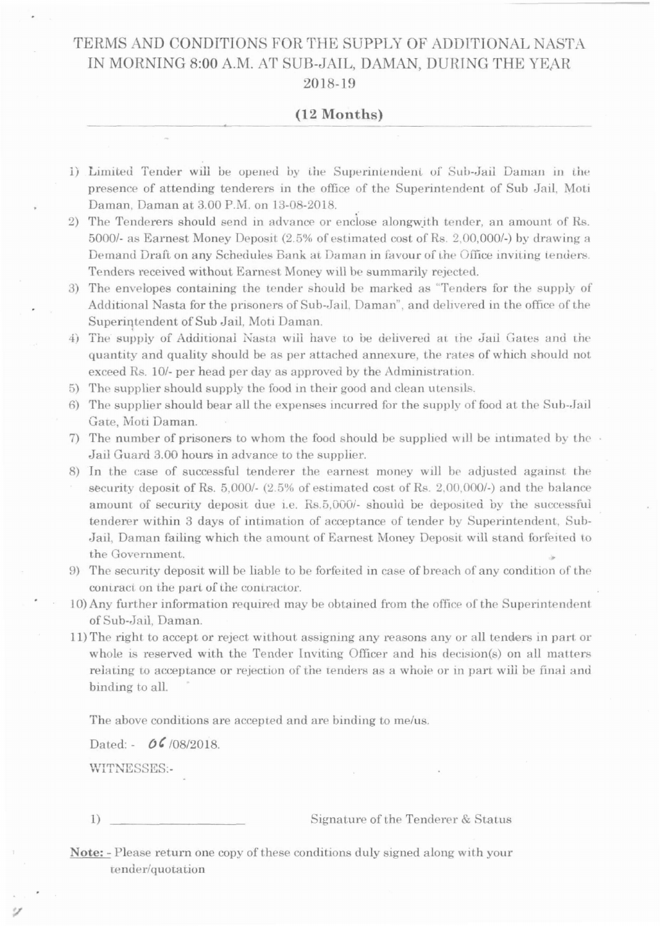## TERMS AND CONDITIONS FOR THE SUPPLY OF ADDITIONAL NASTA IN MORNING 8:00 A.M. AT SUB-JAIL, DAMAN, DURING THE YEAR 2018-19

## $(12$  Months)

- 1) Limited Tender will be opened by the Superintendent of Sub-Jail Daman in the presence of attending tenderers in the office of the Superintendent of Sub Jail, Moti Daman, Daman at 3.00 P.M. on 13-08-2018.
- 2) The Tenderers should send in advance or enclose alongwith tender, an amount of Rs. 5000/- as Earnest Money Deposit (2.5% of estimated cost of Rs. 2,00,000/-) by drawing a Demand Draft on any Schedules Bank at Daman in favour of the Office inviting tenders. Tenders received without Earnest Money will be summarily rejected.
- 3) The envelopes containing the tender should be marked as "Tenders for the supply of Additional Nasta for the prisoners of Sub-Jail, Daman", and delivered in the office of the Superintendent of Sub Jail, Moti Daman.
- 4) The supply of Additional Nasta will have to be delivered at the Jail Gates and the quantity and quality should be as per attached annexure, the rates of which should not exceed Rs. 10/- per head per day as approved by the Administration.
- 5) The supplier should supply the food in their good and clean utensils.
- 6) The supplier should bear all the expenses incurred for the supply of food at the Sub-Jail Gate, Moti Daman.
- 7) The number of prisoners to whom the food should be supplied will be intimated by the  $\cdot$ Jail Guard 3.00 hours in advance to the supplier.
- 8) In the case of successful tenderer the earnest money will be adjusted against the security deposit of Rs. 5,000/- (2.5% of estimated cost of Rs. 2,00,000/-) and the balance amount of security deposit due i.e. Rs.5,000/- should be deposited by the successful tenderer within 3 days of intimation of acceptance of tender by Superintendent, Sub-Jail, Daman failing which the amount of Earnest Money Deposit will stand forfeited to the Government.
- 9) The security deposit will be liable to be forfeited in case of breach of any condition of the contract on the part of the contractor.
- 10) Any further information required may be obtained from the office of the Superintendent of Sub-Jail, Daman.
- 11) The right to accept or reject without assigning any reasons any or all tenders in part or whole is reserved with the Tender Inviting Officer and his decision(s) on all matters relating to acceptance or rejection of the tenders as a whole or in part will be final and binding to all.

The above conditions are accepted and are binding to me/us.

Dated: - 06/08/2018.

WITNESSES:-

Signature of the Tenderer & Status

**Note:** - Please return one copy of these conditions duly signed along with your tender/quotation

 $1)$